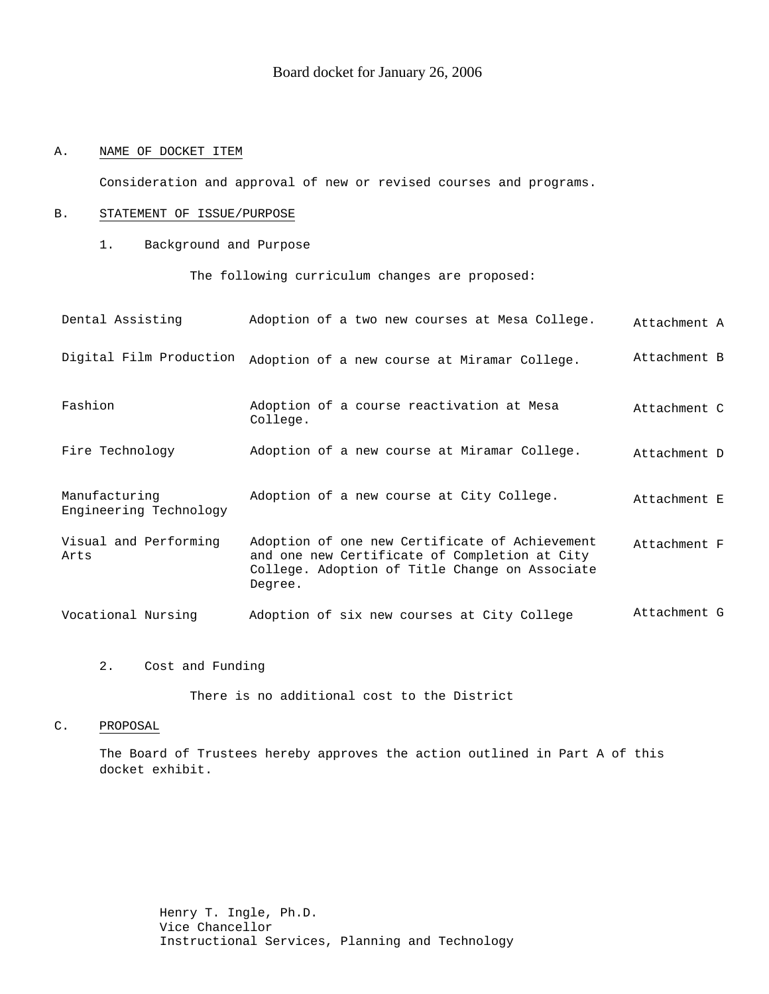#### A. NAME OF DOCKET ITEM

Consideration and approval of new or revised courses and programs.

#### B. STATEMENT OF ISSUE/PURPOSE

1. Background and Purpose

The following curriculum changes are proposed:

| Dental Assisting                        | Adoption of a two new courses at Mesa College.                                                                                                               | Attachment A |
|-----------------------------------------|--------------------------------------------------------------------------------------------------------------------------------------------------------------|--------------|
| Digital Film Production                 | Adoption of a new course at Miramar College.                                                                                                                 | Attachment B |
| Fashion                                 | Adoption of a course reactivation at Mesa<br>College.                                                                                                        | Attachment C |
| Fire Technology                         | Adoption of a new course at Miramar College.                                                                                                                 | Attachment D |
| Manufacturing<br>Engineering Technology | Adoption of a new course at City College.                                                                                                                    | Attachment E |
| Visual and Performing<br>Arts           | Adoption of one new Certificate of Achievement<br>and one new Certificate of Completion at City<br>College. Adoption of Title Change on Associate<br>Degree. | Attachment F |
| Vocational Nursing                      | Adoption of six new courses at City College                                                                                                                  | Attachment G |

# 2. Cost and Funding

There is no additional cost to the District

#### C. PROPOSAL

The Board of Trustees hereby approves the action outlined in Part A of this docket exhibit.

> Henry T. Ingle, Ph.D. Vice Chancellor Instructional Services, Planning and Technology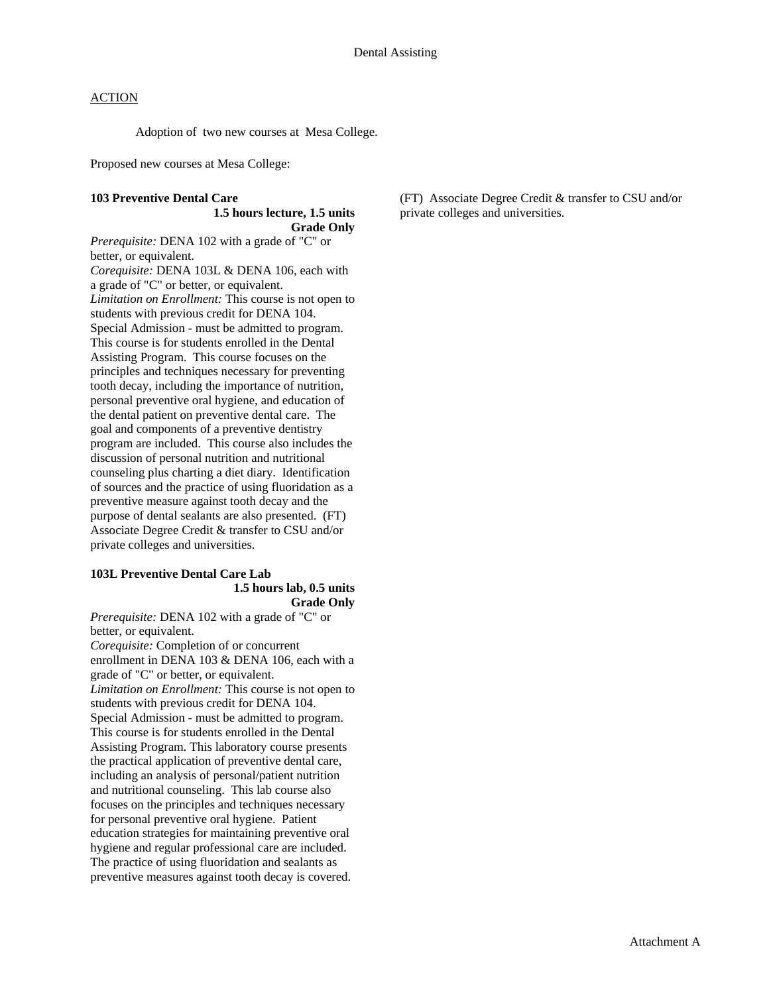Adoption of two new courses at Mesa College.

Proposed new courses at Mesa College:

# **103 Preventive Dental Care 1.5 hours lecture, 1.5 units**

**Grade Only**  *Prerequisite:* DENA 102 with a grade of "C" or better, or equivalent. *Corequisite:* DENA 103L & DENA 106, each with a grade of "C" or better, or equivalent. *Limitation on Enrollment:* This course is not open to students with previous credit for DENA 104. Special Admission - must be admitted to program. This course is for students enrolled in the Dental Assisting Program. This course focuses on the principles and techniques necessary for preventing tooth decay, including the importance of nutrition, personal preventive oral hygiene, and education of the dental patient on preventive dental care. The goal and components of a preventive dentistry program are included. This course also includes the discussion of personal nutrition and nutritional counseling plus charting a diet diary. Identification of sources and the practice of using fluoridation as a preventive measure against tooth decay and the purpose of dental sealants are also presented. (FT) Associate Degree Credit & transfer to CSU and/or private colleges and universities.

#### **103L Preventive Dental Care Lab 1.5 hours lab, 0.5 units Grade Only**

*Prerequisite:* DENA 102 with a grade of "C" or better, or equivalent.

*Corequisite:* Completion of or concurrent enrollment in DENA 103 & DENA 106, each with a grade of "C" or better, or equivalent. *Limitation on Enrollment:* This course is not open to students with previous credit for DENA 104. Special Admission - must be admitted to program. This course is for students enrolled in the Dental Assisting Program. This laboratory course presents the practical application of preventive dental care, including an analysis of personal/patient nutrition and nutritional counseling. This lab course also focuses on the principles and techniques necessary for personal preventive oral hygiene. Patient education strategies for maintaining preventive oral hygiene and regular professional care are included. The practice of using fluoridation and sealants as preventive measures against tooth decay is covered.

(FT) Associate Degree Credit & transfer to CSU and/or private colleges and universities.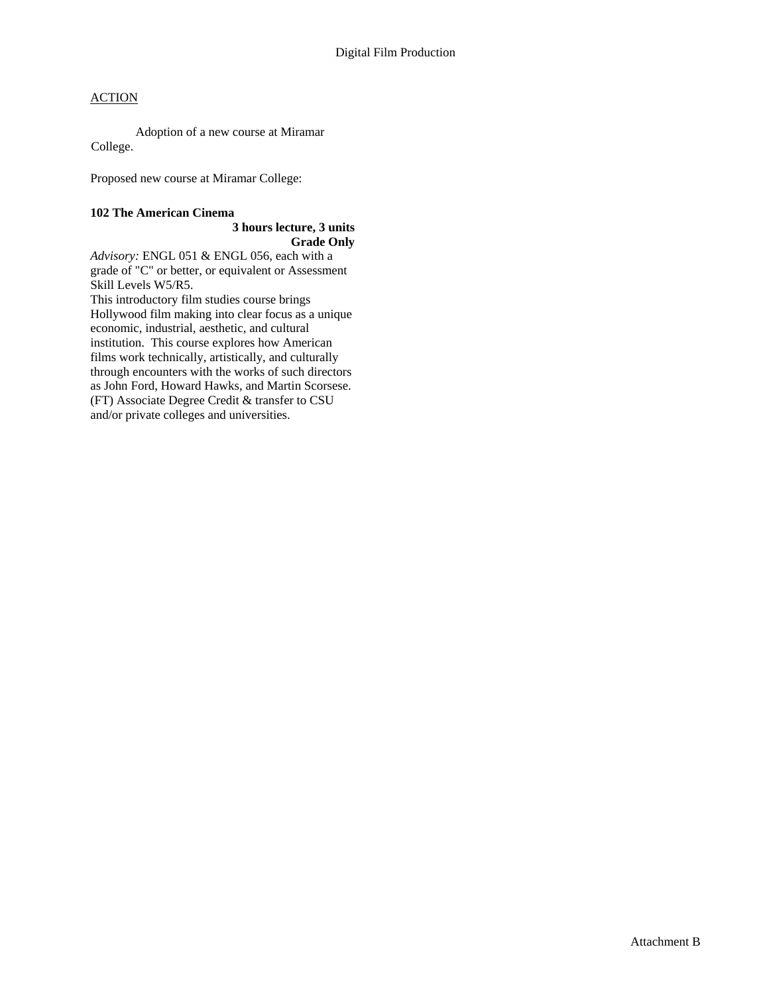Adoption of a new course at Miramar College.

Proposed new course at Miramar College:

#### **102 The American Cinema**

# **3 hours lecture, 3 units Grade Only**

*Advisory:* ENGL 051 & ENGL 056, each with a grade of "C" or better, or equivalent or Assessment Skill Levels W5/R5.

This introductory film studies course brings Hollywood film making into clear focus as a unique economic, industrial, aesthetic, and cultural institution. This course explores how American films work technically, artistically, and culturally through encounters with the works of such directors as John Ford, Howard Hawks, and Martin Scorsese. (FT) Associate Degree Credit & transfer to CSU and/or private colleges and universities.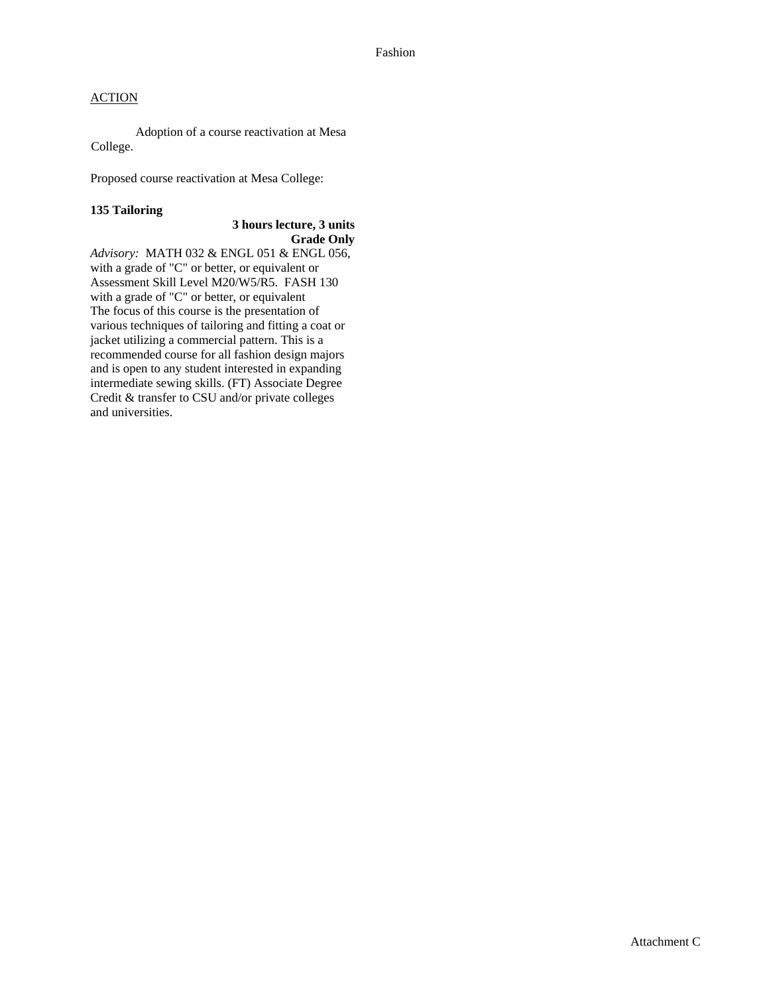Adoption of a course reactivation at Mesa College.

Proposed course reactivation at Mesa College:

### **135 Tailoring**

# **3 hours lecture, 3 units Grade Only**

*Advisory:* MATH 032 & ENGL 051 & ENGL 056, with a grade of "C" or better, or equivalent or Assessment Skill Level M20/W5/R5. FASH 130 with a grade of "C" or better, or equivalent The focus of this course is the presentation of various techniques of tailoring and fitting a coat or jacket utilizing a commercial pattern. This is a recommended course for all fashion design majors and is open to any student interested in expanding intermediate sewing skills. (FT) Associate Degree Credit & transfer to CSU and/or private colleges and universities.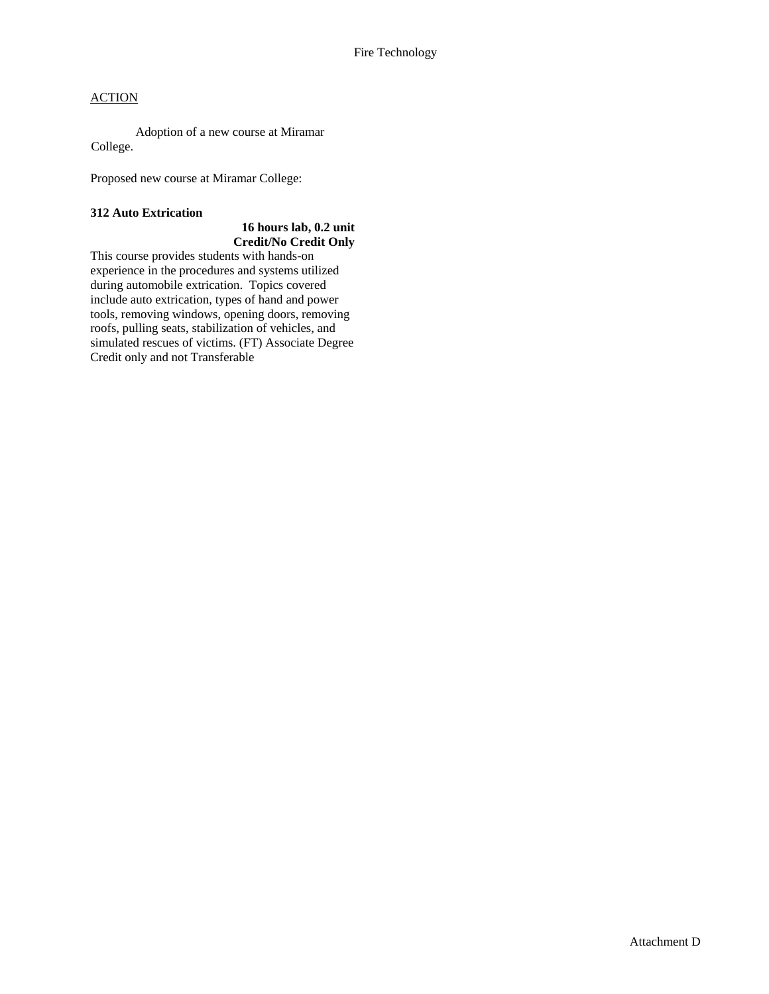Adoption of a new course at Miramar College.

Proposed new course at Miramar College:

#### **312 Auto Extrication**

# **16 hours lab, 0.2 unit Credit/No Credit Only**

This course provides students with hands-on experience in the procedures and systems utilized during automobile extrication. Topics covered include auto extrication, types of hand and power tools, removing windows, opening doors, removing roofs, pulling seats, stabilization of vehicles, and simulated rescues of victims. (FT) Associate Degree Credit only and not Transferable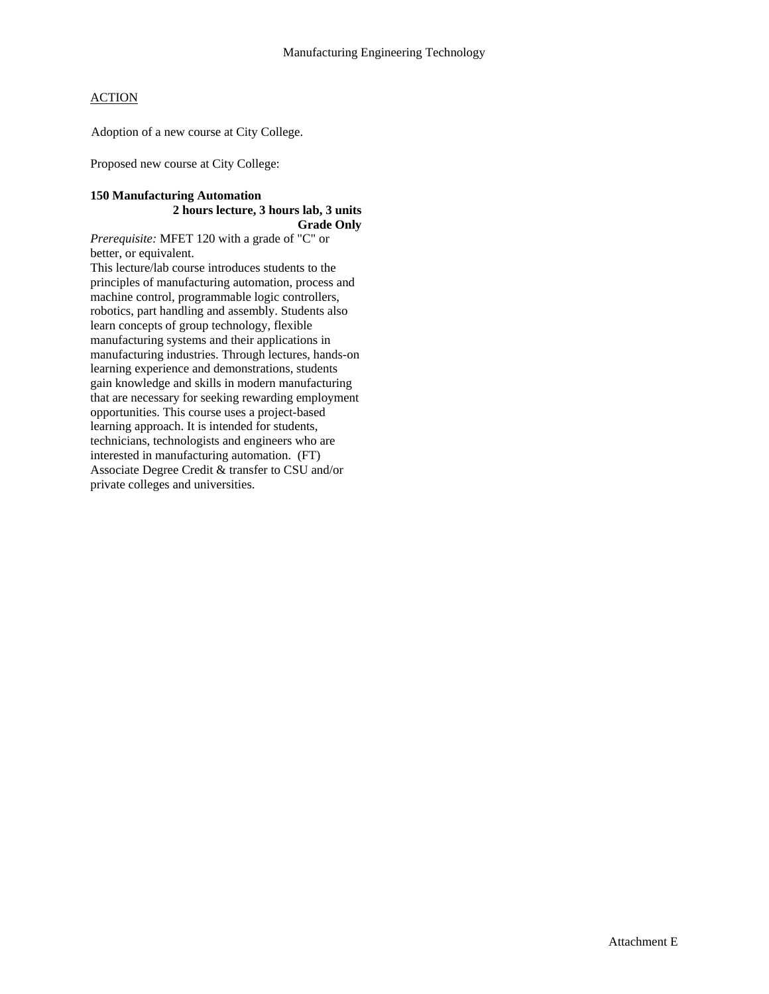Adoption of a new course at City College.

Proposed new course at City College:

#### **150 Manufacturing Automation 2 hours lecture, 3 hours lab, 3 units Grade Only**

*Prerequisite:* MFET 120 with a grade of "C" or better, or equivalent.

This lecture/lab course introduces students to the principles of manufacturing automation, process and machine control, programmable logic controllers, robotics, part handling and assembly. Students also learn concepts of group technology, flexible manufacturing systems and their applications in manufacturing industries. Through lectures, hands-on learning experience and demonstrations, students gain knowledge and skills in modern manufacturing that are necessary for seeking rewarding employment opportunities. This course uses a project-based learning approach. It is intended for students, technicians, technologists and engineers who are interested in manufacturing automation. (FT) Associate Degree Credit & transfer to CSU and/or private colleges and universities.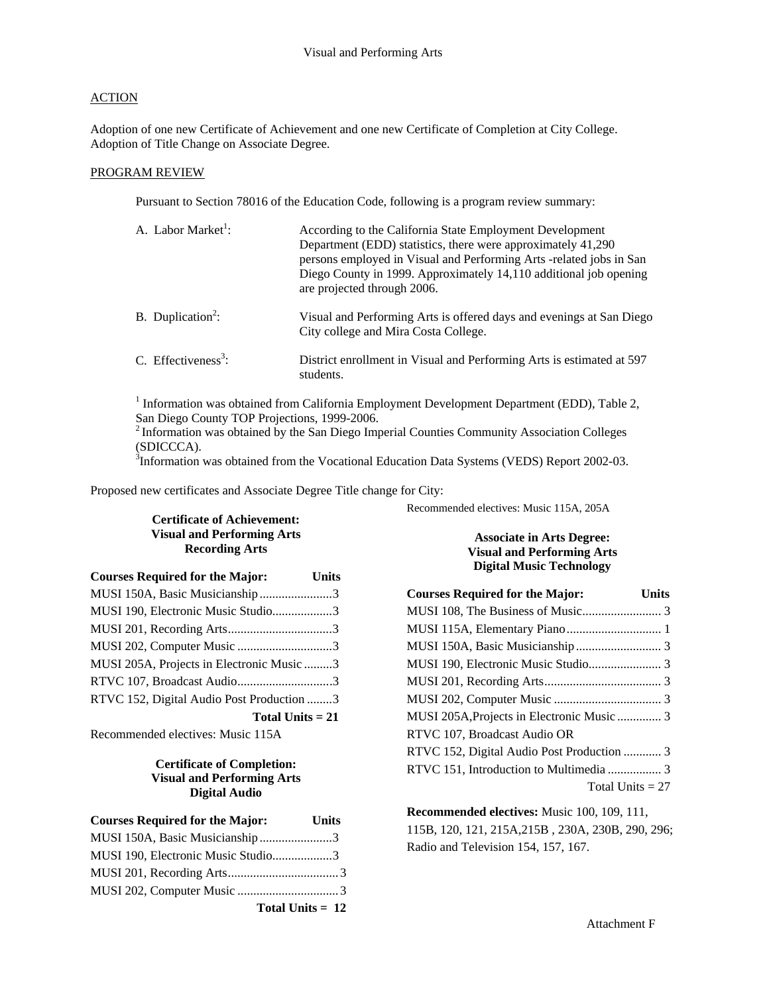Adoption of one new Certificate of Achievement and one new Certificate of Completion at City College. Adoption of Title Change on Associate Degree.

#### PROGRAM REVIEW

Pursuant to Section 78016 of the Education Code, following is a program review summary:

| A. Labor Market <sup>1</sup> :  | According to the California State Employment Development<br>Department (EDD) statistics, there were approximately 41,290<br>persons employed in Visual and Performing Arts -related jobs in San<br>Diego County in 1999. Approximately 14,110 additional job opening<br>are projected through 2006. |
|---------------------------------|-----------------------------------------------------------------------------------------------------------------------------------------------------------------------------------------------------------------------------------------------------------------------------------------------------|
| B. Duplication <sup>2</sup> :   | Visual and Performing Arts is offered days and evenings at San Diego<br>City college and Mira Costa College.                                                                                                                                                                                        |
| C. Effectiveness <sup>3</sup> : | District enrollment in Visual and Performing Arts is estimated at 597<br>students.                                                                                                                                                                                                                  |

<sup>1</sup> Information was obtained from California Employment Development Department (EDD), Table 2, San Diego County TOP Projections, 1999-2006.

 $2$ Information was obtained by the San Diego Imperial Counties Community Association Colleges (SDICCCA).

<sup>3</sup>Information was obtained from the Vocational Education Data Systems (VEDS) Report 2002-03.

Proposed new certificates and Associate Degree Title change for City:

# **Certificate of Achievement: Visual and Performing Arts Recording Arts**

| <b>Courses Required for the Major:</b>    | <b>Units</b> |
|-------------------------------------------|--------------|
| MUSI 150A, Basic Musicianship3            |              |
| MUSI 190, Electronic Music Studio3        |              |
|                                           |              |
| MUSI 202, Computer Music 3                |              |
| MUSI 205A, Projects in Electronic Music 3 |              |
| RTVC 107, Broadcast Audio3                |              |
| RTVC 152, Digital Audio Post Production 3 |              |
| Total Units $= 21$                        |              |

Recommended electives: Music 115A

# **Certificate of Completion: Visual and Performing Arts Digital Audio**

| <b>Courses Required for the Major:</b> | <b>Units</b> |
|----------------------------------------|--------------|
| MUSI 150A, Basic Musicianship3         |              |
| MUSI 190, Electronic Music Studio3     |              |
|                                        |              |
|                                        |              |
| Total Units = $12$                     |              |

Recommended electives: Music 115A, 205A

# **Associate in Arts Degree: Visual and Performing Arts Digital Music Technology**

| <b>Courses Required for the Major:</b>     | Units |
|--------------------------------------------|-------|
|                                            |       |
| MUSI 115A, Elementary Piano 1              |       |
|                                            |       |
|                                            |       |
|                                            |       |
|                                            |       |
| MUSI 205A, Projects in Electronic Music  3 |       |
| RTVC 107, Broadcast Audio OR               |       |
| RTVC 152, Digital Audio Post Production  3 |       |
|                                            |       |
| Total Units $= 27$                         |       |

**Recommended electives:** Music 100, 109, 111, 115B, 120, 121, 215A,215B , 230A, 230B, 290, 296; Radio and Television 154, 157, 167.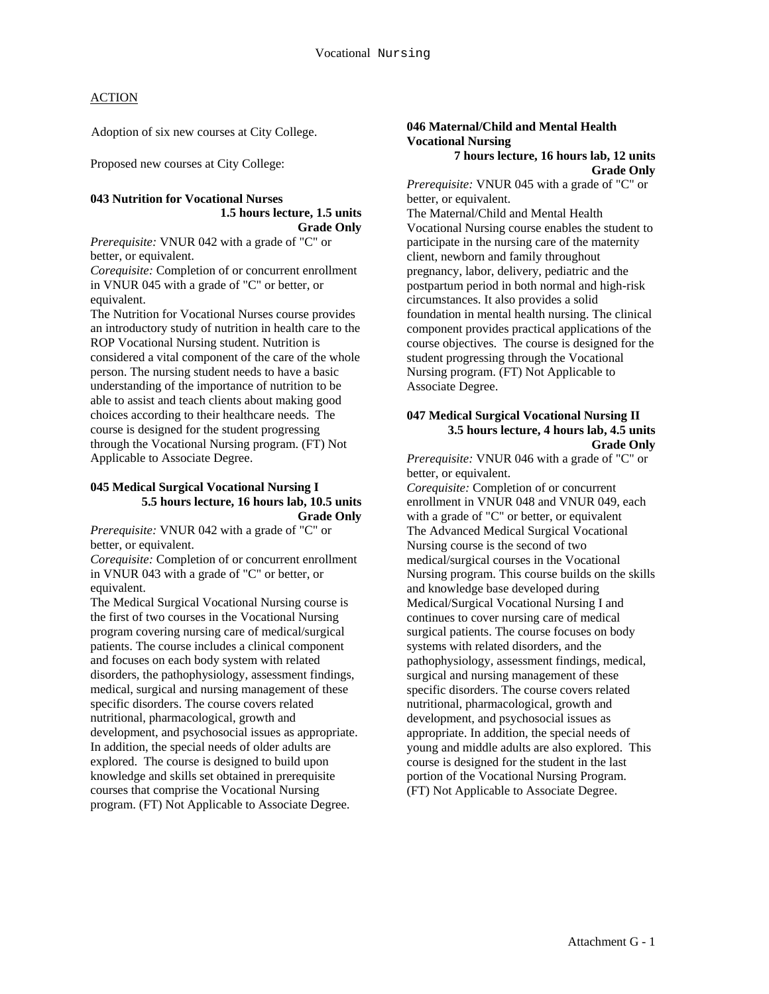Adoption of six new courses at City College.

Proposed new courses at City College:

#### **043 Nutrition for Vocational Nurses 1.5 hours lecture, 1.5 units Grade Only**

*Prerequisite:* VNUR 042 with a grade of "C" or better, or equivalent.

*Corequisite:* Completion of or concurrent enrollment in VNUR 045 with a grade of "C" or better, or equivalent.

The Nutrition for Vocational Nurses course provides an introductory study of nutrition in health care to the ROP Vocational Nursing student. Nutrition is considered a vital component of the care of the whole person. The nursing student needs to have a basic understanding of the importance of nutrition to be able to assist and teach clients about making good choices according to their healthcare needs. The course is designed for the student progressing through the Vocational Nursing program. (FT) Not Applicable to Associate Degree.

#### **045 Medical Surgical Vocational Nursing I 5.5 hours lecture, 16 hours lab, 10.5 units Grade Only**

*Prerequisite:* VNUR 042 with a grade of "C" or better, or equivalent.

*Corequisite:* Completion of or concurrent enrollment in VNUR 043 with a grade of "C" or better, or equivalent.

The Medical Surgical Vocational Nursing course is the first of two courses in the Vocational Nursing program covering nursing care of medical/surgical patients. The course includes a clinical component and focuses on each body system with related disorders, the pathophysiology, assessment findings, medical, surgical and nursing management of these specific disorders. The course covers related nutritional, pharmacological, growth and development, and psychosocial issues as appropriate. In addition, the special needs of older adults are explored. The course is designed to build upon knowledge and skills set obtained in prerequisite courses that comprise the Vocational Nursing program. (FT) Not Applicable to Associate Degree.

#### **046 Maternal/Child and Mental Health Vocational Nursing 7 hours lecture, 16 hours lab, 12 units**

**Grade Only** 

*Prerequisite:* VNUR 045 with a grade of "C" or better, or equivalent.

The Maternal/Child and Mental Health Vocational Nursing course enables the student to participate in the nursing care of the maternity client, newborn and family throughout pregnancy, labor, delivery, pediatric and the postpartum period in both normal and high-risk circumstances. It also provides a solid foundation in mental health nursing. The clinical component provides practical applications of the course objectives. The course is designed for the student progressing through the Vocational Nursing program. (FT) Not Applicable to Associate Degree.

#### **047 Medical Surgical Vocational Nursing II 3.5 hours lecture, 4 hours lab, 4.5 units Grade Only**

*Prerequisite:* VNUR 046 with a grade of "C" or better, or equivalent. *Corequisite:* Completion of or concurrent enrollment in VNUR 048 and VNUR 049, each with a grade of "C" or better, or equivalent The Advanced Medical Surgical Vocational Nursing course is the second of two medical/surgical courses in the Vocational Nursing program. This course builds on the skills and knowledge base developed during Medical/Surgical Vocational Nursing I and continues to cover nursing care of medical surgical patients. The course focuses on body systems with related disorders, and the pathophysiology, assessment findings, medical, surgical and nursing management of these specific disorders. The course covers related nutritional, pharmacological, growth and development, and psychosocial issues as appropriate. In addition, the special needs of young and middle adults are also explored. This course is designed for the student in the last portion of the Vocational Nursing Program. (FT) Not Applicable to Associate Degree.